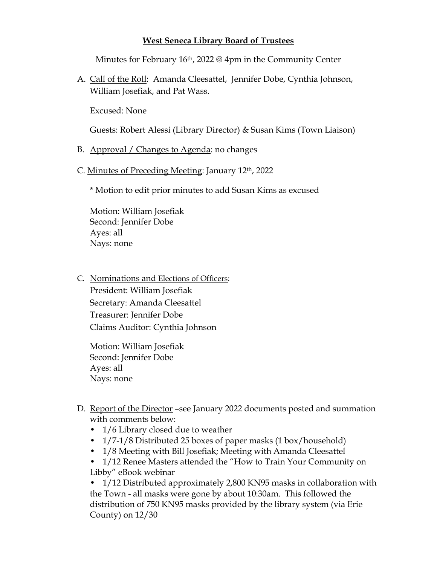## **West Seneca Library Board of Trustees**

Minutes for February 16<sup>th</sup>, 2022 @ 4pm in the Community Center

A. Call of the Roll: Amanda Cleesattel, Jennifer Dobe, Cynthia Johnson, William Josefiak, and Pat Wass.

Excused: None

Guests: Robert Alessi (Library Director) & Susan Kims (Town Liaison)

- B. Approval / Changes to Agenda: no changes
- C. Minutes of Preceding Meeting: January 12th, 2022

\* Motion to edit prior minutes to add Susan Kims as excused

Motion: William Josefiak Second: Jennifer Dobe Ayes: all Nays: none

C. Nominations and Elections of Officers: President: William Josefiak Secretary: Amanda Cleesattel Treasurer: Jennifer Dobe Claims Auditor: Cynthia Johnson

Motion: William Josefiak Second: Jennifer Dobe Ayes: all Nays: none

- D. Report of the Director –see January 2022 documents posted and summation with comments below:
	- 1/6 Library closed due to weather
	- 1/7-1/8 Distributed 25 boxes of paper masks (1 box/household)
	- 1/8 Meeting with Bill Josefiak; Meeting with Amanda Cleesattel
	- 1/12 Renee Masters attended the "How to Train Your Community on Libby" eBook webinar

• 1/12 Distributed approximately 2,800 KN95 masks in collaboration with the Town - all masks were gone by about 10:30am. This followed the distribution of 750 KN95 masks provided by the library system (via Erie County) on 12/30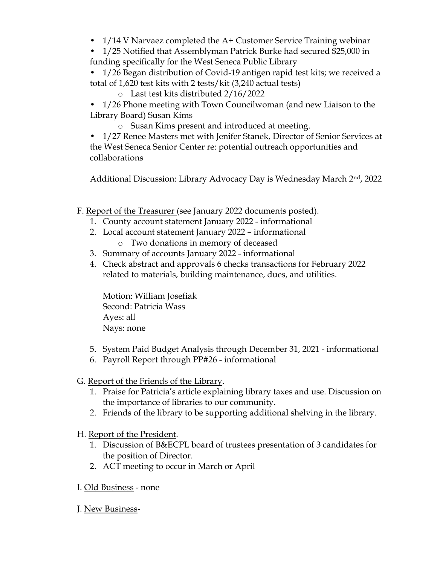- 1/14 V Narvaez completed the A+ Customer Service Training webinar
- 1/25 Notified that Assemblyman Patrick Burke had secured \$25,000 in funding specifically for the West Seneca Public Library
- 1/26 Began distribution of Covid-19 antigen rapid test kits; we received a total of 1,620 test kits with 2 tests/kit (3,240 actual tests)
	- o Last test kits distributed 2/16/2022
- 1/26 Phone meeting with Town Councilwoman (and new Liaison to the Library Board) Susan Kims
	- o Susan Kims present and introduced at meeting.

• 1/27 Renee Masters met with Jenifer Stanek, Director of Senior Services at the West Seneca Senior Center re: potential outreach opportunities and collaborations

Additional Discussion: Library Advocacy Day is Wednesday March 2nd, 2022

- F. Report of the Treasurer (see January 2022 documents posted).
	- 1. County account statement January 2022 informational
	- 2. Local account statement January 2022 informational
		- o Two donations in memory of deceased
	- 3. Summary of accounts January 2022 informational
	- 4. Check abstract and approvals 6 checks transactions for February 2022 related to materials, building maintenance, dues, and utilities.

Motion: William Josefiak Second: Patricia Wass Ayes: all Nays: none

- 5. System Paid Budget Analysis through December 31, 2021 informational
- 6. Payroll Report through PP#26 informational
- G. Report of the Friends of the Library.
	- 1. Praise for Patricia's article explaining library taxes and use. Discussion on the importance of libraries to our community.
	- 2. Friends of the library to be supporting additional shelving in the library.
- H. Report of the President.
	- 1. Discussion of B&ECPL board of trustees presentation of 3 candidates for the position of Director.
	- 2. ACT meeting to occur in March or April
- I. Old Business none
- J. New Business-